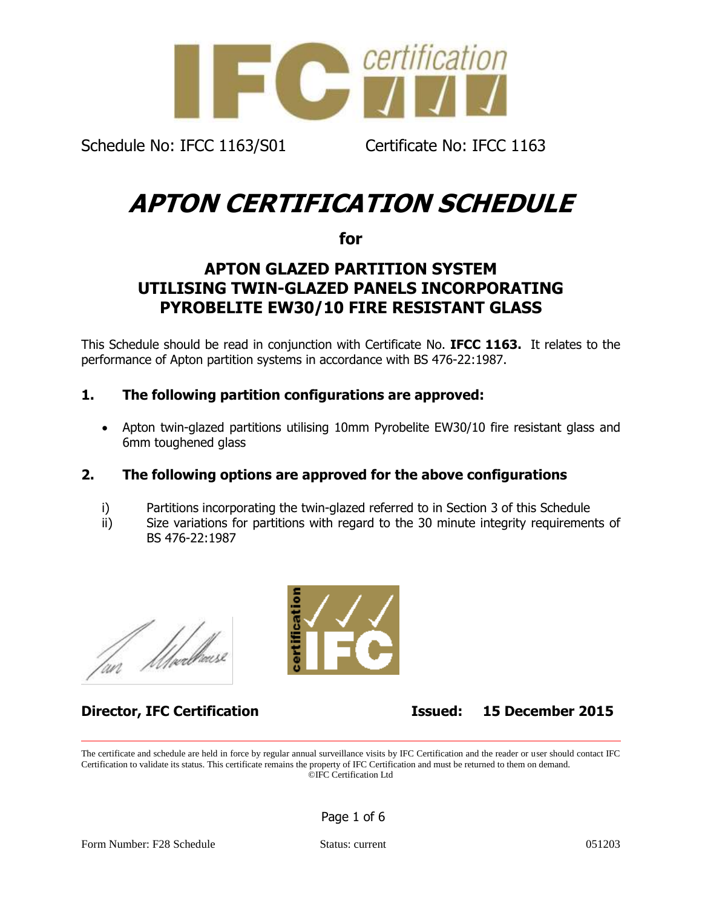

# **APTON CERTIFICATION SCHEDULE**

**for**

## **APTON GLAZED PARTITION SYSTEM UTILISING TWIN-GLAZED PANELS INCORPORATING PYROBELITE EW30/10 FIRE RESISTANT GLASS**

This Schedule should be read in conjunction with Certificate No. **IFCC 1163.** It relates to the performance of Apton partition systems in accordance with BS 476-22:1987.

## **1. The following partition configurations are approved:**

• Apton twin-glazed partitions utilising 10mm Pyrobelite EW30/10 fire resistant glass and 6mm toughened glass

### **2. The following options are approved for the above configurations**

- i) Partitions incorporating the twin-glazed referred to in Section 3 of this Schedule
- ii) Size variations for partitions with regard to the 30 minute integrity requirements of BS 476-22:1987



**Director, IFC Certification Issued: 15 December 2015**

The certificate and schedule are held in force by regular annual surveillance visits by IFC Certification and the reader or user should contact IFC Certification to validate its status. This certificate remains the property of IFC Certification and must be returned to them on demand. ©IFC Certification Ltd

Page 1 of 6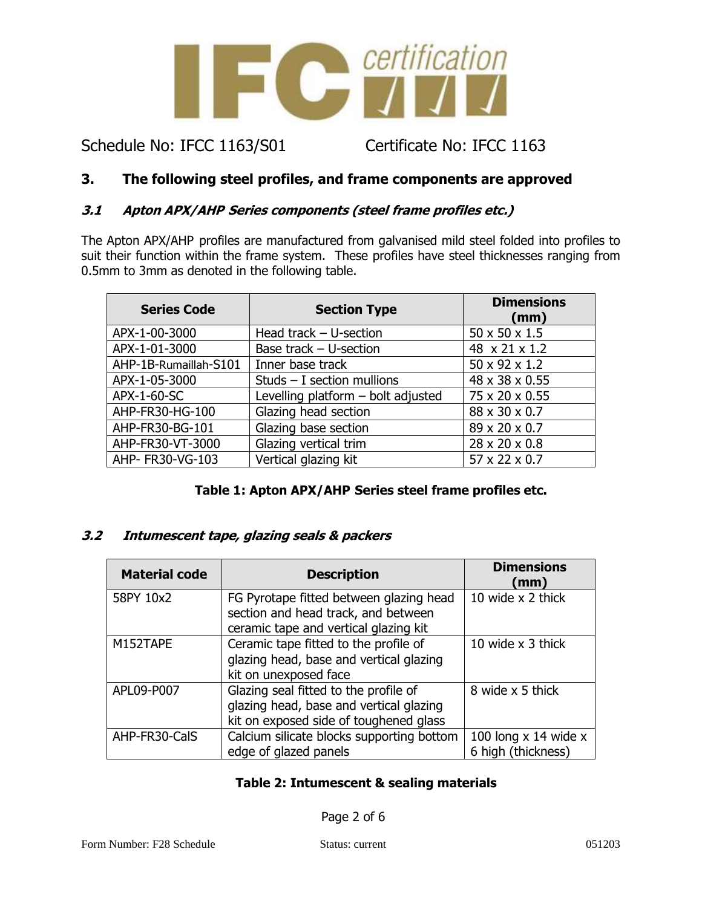

## **3. The following steel profiles, and frame components are approved**

#### **3.1 Apton APX/AHP Series components (steel frame profiles etc.)**

The Apton APX/AHP profiles are manufactured from galvanised mild steel folded into profiles to suit their function within the frame system. These profiles have steel thicknesses ranging from 0.5mm to 3mm as denoted in the following table.

| <b>Series Code</b>    | <b>Section Type</b>                | <b>Dimensions</b><br>(mm) |
|-----------------------|------------------------------------|---------------------------|
| APX-1-00-3000         | Head track $-$ U-section           | 50 x 50 x 1.5             |
| APX-1-01-3000         | Base track $-$ U-section           | 48 x 21 x 1.2             |
| AHP-1B-Rumaillah-S101 | Inner base track                   | 50 x 92 x 1.2             |
| APX-1-05-3000         | Studs $-$ I section mullions       | 48 x 38 x 0.55            |
| APX-1-60-SC           | Levelling platform - bolt adjusted | 75 x 20 x 0.55            |
| AHP-FR30-HG-100       | Glazing head section               | 88 x 30 x 0.7             |
| AHP-FR30-BG-101       | Glazing base section               | 89 x 20 x 0.7             |
| AHP-FR30-VT-3000      | Glazing vertical trim              | 28 x 20 x 0.8             |
| AHP- FR30-VG-103      | Vertical glazing kit               | 57 x 22 x 0.7             |

#### **Table 1: Apton APX/AHP Series steel frame profiles etc.**

#### **3.2 Intumescent tape, glazing seals & packers**

| <b>Material code</b> | <b>Description</b>                                                                                                         | <b>Dimensions</b><br>(mm)                      |
|----------------------|----------------------------------------------------------------------------------------------------------------------------|------------------------------------------------|
| 58PY 10x2            | FG Pyrotape fitted between glazing head<br>section and head track, and between<br>ceramic tape and vertical glazing kit    | 10 wide x 2 thick                              |
| M152TAPE             | Ceramic tape fitted to the profile of<br>glazing head, base and vertical glazing<br>kit on unexposed face                  | 10 wide x 3 thick                              |
| APL09-P007           | Glazing seal fitted to the profile of<br>glazing head, base and vertical glazing<br>kit on exposed side of toughened glass | 8 wide x 5 thick                               |
| AHP-FR30-CalS        | Calcium silicate blocks supporting bottom<br>edge of glazed panels                                                         | 100 long $x$ 14 wide $x$<br>6 high (thickness) |

#### **Table 2: Intumescent & sealing materials**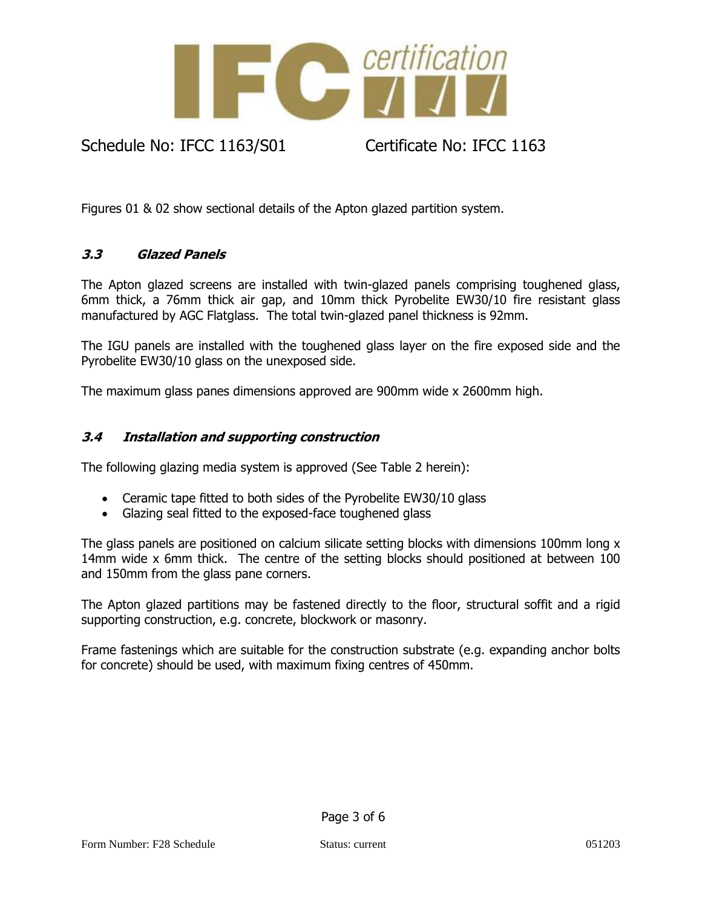

Figures 01 & 02 show sectional details of the Apton glazed partition system.

#### **3.3 Glazed Panels**

The Apton glazed screens are installed with twin-glazed panels comprising toughened glass, 6mm thick, a 76mm thick air gap, and 10mm thick Pyrobelite EW30/10 fire resistant glass manufactured by AGC Flatglass. The total twin-glazed panel thickness is 92mm.

The IGU panels are installed with the toughened glass layer on the fire exposed side and the Pyrobelite EW30/10 glass on the unexposed side.

The maximum glass panes dimensions approved are 900mm wide x 2600mm high.

#### **3.4 Installation and supporting construction**

The following glazing media system is approved (See Table 2 herein):

- Ceramic tape fitted to both sides of the Pyrobelite EW30/10 glass
- Glazing seal fitted to the exposed-face toughened glass

The glass panels are positioned on calcium silicate setting blocks with dimensions 100mm long x 14mm wide x 6mm thick. The centre of the setting blocks should positioned at between 100 and 150mm from the glass pane corners.

The Apton glazed partitions may be fastened directly to the floor, structural soffit and a rigid supporting construction, e.g. concrete, blockwork or masonry.

Frame fastenings which are suitable for the construction substrate (e.g. expanding anchor bolts for concrete) should be used, with maximum fixing centres of 450mm.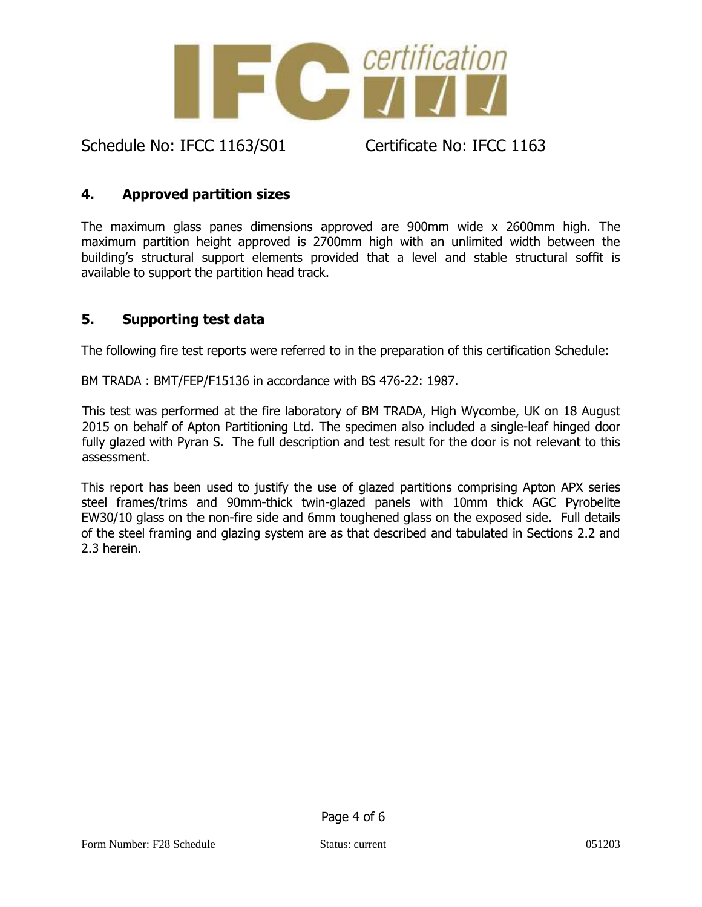

## **4. Approved partition sizes**

The maximum glass panes dimensions approved are 900mm wide x 2600mm high. The maximum partition height approved is 2700mm high with an unlimited width between the building's structural support elements provided that a level and stable structural soffit is available to support the partition head track.

## **5. Supporting test data**

The following fire test reports were referred to in the preparation of this certification Schedule:

BM TRADA : BMT/FEP/F15136 in accordance with BS 476-22: 1987.

This test was performed at the fire laboratory of BM TRADA, High Wycombe, UK on 18 August 2015 on behalf of Apton Partitioning Ltd. The specimen also included a single-leaf hinged door fully glazed with Pyran S. The full description and test result for the door is not relevant to this assessment.

This report has been used to justify the use of glazed partitions comprising Apton APX series steel frames/trims and 90mm-thick twin-glazed panels with 10mm thick AGC Pyrobelite EW30/10 glass on the non-fire side and 6mm toughened glass on the exposed side. Full details of the steel framing and glazing system are as that described and tabulated in Sections 2.2 and 2.3 herein.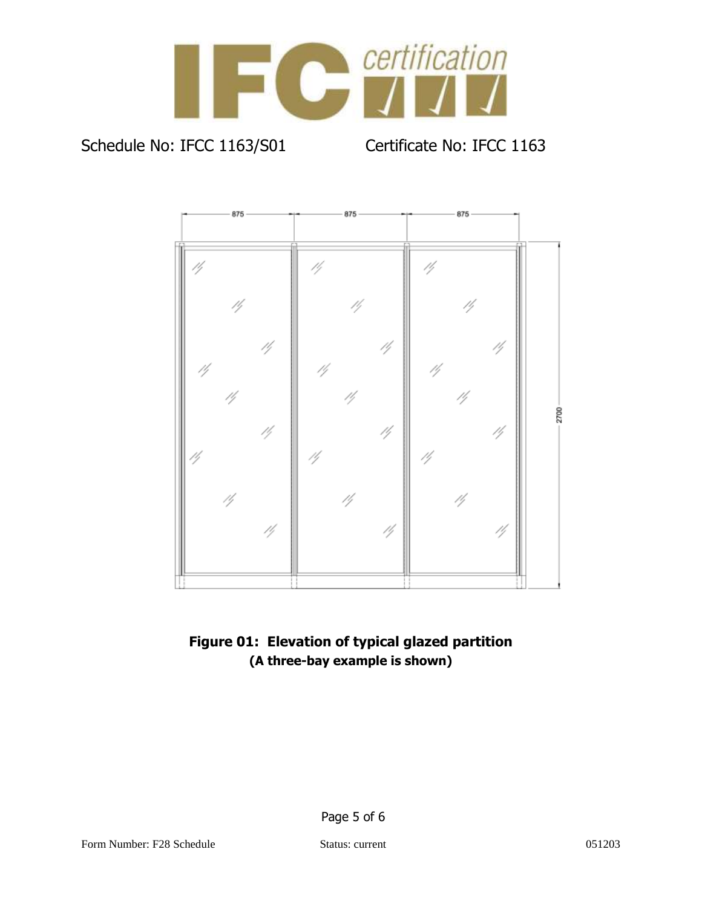



## **Figure 01: Elevation of typical glazed partition (A three-bay example is shown)**